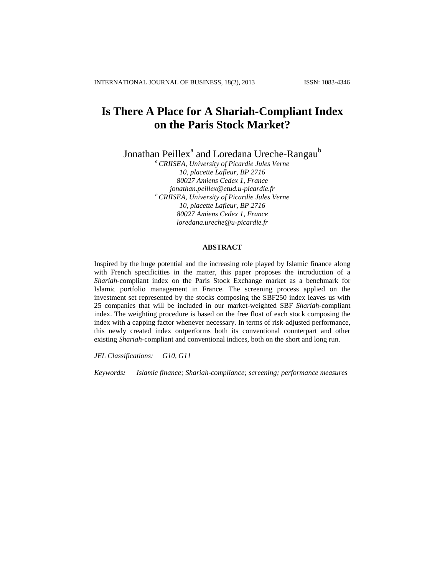# **Is There A Place for A Shariah***-***Compliant Index on the Paris Stock Market?**

Jonathan Peillex<sup>a</sup> and Loredana Ureche-Rangau<sup>b</sup>

*<sup>a</sup> CRIISEA, University of Picardie Jules Verne 10, placette Lafleur, BP 2716 80027 Amiens Cedex 1, France [jonathan.peillex@etud.u-picardie.fr](mailto:jonathan.peillex@etud.u-picardie.fr) <sup>b</sup> CRIISEA, University of Picardie Jules Verne 10, placette Lafleur, BP 2716 80027 Amiens Cedex 1, France [loredana.ureche@u-picardie.fr](mailto:loredana.ureche@u-picardie.fr)*

# **ABSTRACT**

Inspired by the huge potential and the increasing role played by Islamic finance along with French specificities in the matter, this paper proposes the introduction of a *Shariah*-compliant index on the Paris Stock Exchange market as a benchmark for Islamic portfolio management in France. The screening process applied on the investment set represented by the stocks composing the SBF250 index leaves us with 25 companies that will be included in our market-weighted SBF *Shariah*-compliant index. The weighting procedure is based on the free float of each stock composing the index with a capping factor whenever necessary. In terms of risk-adjusted performance, this newly created index outperforms both its conventional counterpart and other existing *Shariah*-compliant and conventional indices, both on the short and long run.

*JEL Classifications: G10, G11*

*Keywords: Islamic finance; Shariah-compliance; screening; performance measures*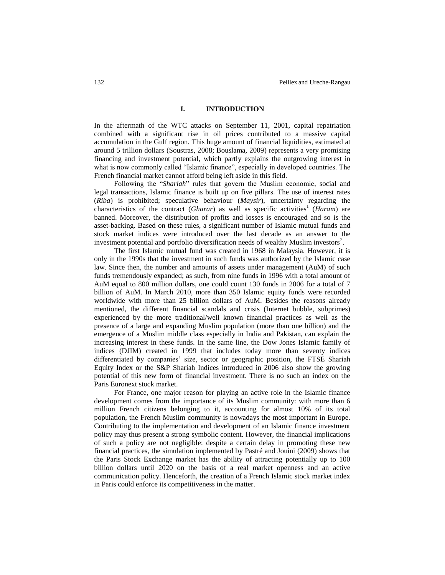# **I. INTRODUCTION**

In the aftermath of the WTC attacks on September 11, 2001, capital repatriation combined with a significant rise in oil prices contributed to a massive capital accumulation in the Gulf region. This huge amount of financial liquidities, estimated at around 5 trillion dollars (Soustras, 2008; Bouslama, 2009) represents a very promising financing and investment potential, which partly explains the outgrowing interest in what is now commonly called "Islamic finance", especially in developed countries. The French financial market cannot afford being left aside in this field.

Following the "*Shariah*" rules that govern the Muslim economic, social and legal transactions, Islamic finance is built up on five pillars. The use of interest rates (*Riba*) is prohibited; speculative behaviour (*Maysir*), uncertainty regarding the characteristics of the contract (*Gharar*) as well as specific activities<sup>1</sup> (*Haram*) are banned. Moreover, the distribution of profits and losses is encouraged and so is the asset-backing. Based on these rules, a significant number of Islamic mutual funds and stock market indices were introduced over the last decade as an answer to the investment potential and portfolio diversification needs of wealthy Muslim investors<sup>2</sup>.

The first Islamic mutual fund was created in 1968 in Malaysia. However, it is only in the 1990s that the investment in such funds was authorized by the Islamic case law. Since then, the number and amounts of assets under management (AuM) of such funds tremendously expanded; as such, from nine funds in 1996 with a total amount of AuM equal to 800 million dollars, one could count 130 funds in 2006 for a total of 7 billion of AuM. In March 2010, more than 350 Islamic equity funds were recorded worldwide with more than 25 billion dollars of AuM. Besides the reasons already mentioned, the different financial scandals and crisis (Internet bubble, subprimes) experienced by the more traditional/well known financial practices as well as the presence of a large and expanding Muslim population (more than one billion) and the emergence of a Muslim middle class especially in India and Pakistan, can explain the increasing interest in these funds. In the same line, the Dow Jones Islamic family of indices (DJIM) created in 1999 that includes today more than seventy indices differentiated by companies' size, sector or geographic position, the FTSE Shariah Equity Index or the S&P Shariah Indices introduced in 2006 also show the growing potential of this new form of financial investment. There is no such an index on the Paris Euronext stock market.

For France, one major reason for playing an active role in the Islamic finance development comes from the importance of its Muslim community: with more than 6 million French citizens belonging to it, accounting for almost 10% of its total population, the French Muslim community is nowadays the most important in Europe. Contributing to the implementation and development of an Islamic finance investment policy may thus present a strong symbolic content. However, the financial implications of such a policy are not negligible: despite a certain delay in promoting these new financial practices, the simulation implemented by Pastré and Jouini (2009) shows that the Paris Stock Exchange market has the ability of attracting potentially up to 100 billion dollars until 2020 on the basis of a real market openness and an active communication policy. Henceforth, the creation of a French Islamic stock market index in Paris could enforce its competitiveness in the matter.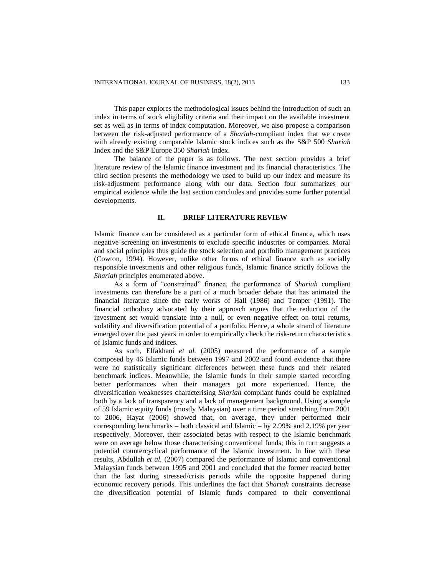This paper explores the methodological issues behind the introduction of such an index in terms of stock eligibility criteria and their impact on the available investment set as well as in terms of index computation. Moreover, we also propose a comparison between the risk-adjusted performance of a *Shariah*-compliant index that we create with already existing comparable Islamic stock indices such as the S&P 500 *Shariah* Index and the S&P Europe 350 *Shariah* Index.

The balance of the paper is as follows. The next section provides a brief literature review of the Islamic finance investment and its financial characteristics. The third section presents the methodology we used to build up our index and measure its risk-adjustment performance along with our data. Section four summarizes our empirical evidence while the last section concludes and provides some further potential developments.

# **II. BRIEF LITERATURE REVIEW**

Islamic finance can be considered as a particular form of ethical finance, which uses negative screening on investments to exclude specific industries or companies. Moral and social principles thus guide the stock selection and portfolio management practices (Cowton, 1994). However, unlike other forms of ethical finance such as socially responsible investments and other religious funds, Islamic finance strictly follows the *Shariah* principles enumerated above.

As a form of "constrained" finance, the performance of *Shariah* compliant investments can therefore be a part of a much broader debate that has animated the financial literature since the early works of Hall (1986) and Temper (1991). The financial orthodoxy advocated by their approach argues that the reduction of the investment set would translate into a null, or even negative effect on total returns, volatility and diversification potential of a portfolio. Hence, a whole strand of literature emerged over the past years in order to empirically check the risk-return characteristics of Islamic funds and indices.

As such, Elfakhani *et al.* (2005) measured the performance of a sample composed by 46 Islamic funds between 1997 and 2002 and found evidence that there were no statistically significant differences between these funds and their related benchmark indices. Meanwhile, the Islamic funds in their sample started recording better performances when their managers got more experienced. Hence, the diversification weaknesses characterising *Shariah* compliant funds could be explained both by a lack of transparency and a lack of management background. Using a sample of 59 Islamic equity funds (mostly Malaysian) over a time period stretching from 2001 to 2006, Hayat (2006) showed that, on average, they under performed their corresponding benchmarks – both classical and Islamic – by 2.99% and 2.19% per year respectively. Moreover, their associated betas with respect to the Islamic benchmark were on average below those characterising conventional funds; this in turn suggests a potential countercyclical performance of the Islamic investment. In line with these results, Abdullah *et al.* (2007) compared the performance of Islamic and conventional Malaysian funds between 1995 and 2001 and concluded that the former reacted better than the last during stressed/crisis periods while the opposite happened during economic recovery periods. This underlines the fact that *Shariah* constraints decrease the diversification potential of Islamic funds compared to their conventional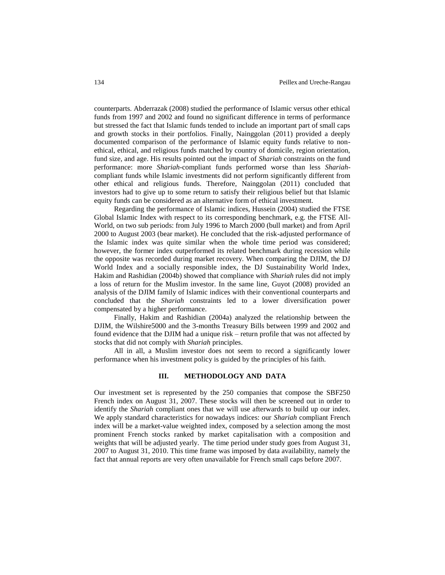counterparts. Abderrazak (2008) studied the performance of Islamic versus other ethical funds from 1997 and 2002 and found no significant difference in terms of performance but stressed the fact that Islamic funds tended to include an important part of small caps and growth stocks in their portfolios. Finally, Nainggolan (2011) provided a deeply documented comparison of the performance of Islamic equity funds relative to nonethical, ethical, and religious funds matched by country of domicile, region orientation, fund size, and age. His results pointed out the impact of *Shariah* constraints on the fund performance: more *Shariah*-compliant funds performed worse than less *Shariah*compliant funds while Islamic investments did not perform significantly different from other ethical and religious funds. Therefore, Nainggolan (2011) concluded that investors had to give up to some return to satisfy their religious belief but that Islamic equity funds can be considered as an alternative form of ethical investment.

Regarding the performance of Islamic indices, Hussein (2004) studied the FTSE Global Islamic Index with respect to its corresponding benchmark, e.g. the FTSE All-World, on two sub periods: from July 1996 to March 2000 (bull market) and from April 2000 to August 2003 (bear market). He concluded that the risk-adjusted performance of the Islamic index was quite similar when the whole time period was considered; however, the former index outperformed its related benchmark during recession while the opposite was recorded during market recovery. When comparing the DJIM, the DJ World Index and a socially responsible index, the DJ Sustainability World Index, Hakim and Rashidian (2004b) showed that compliance with *Shariah* rules did not imply a loss of return for the Muslim investor. In the same line, Guyot (2008) provided an analysis of the DJIM family of Islamic indices with their conventional counterparts and concluded that the *Shariah* constraints led to a lower diversification power compensated by a higher performance.

Finally, Hakim and Rashidian (2004a) analyzed the relationship between the DJIM, the Wilshire5000 and the 3-months Treasury Bills between 1999 and 2002 and found evidence that the DJIM had a unique risk – return profile that was not affected by stocks that did not comply with *Shariah* principles.

All in all, a Muslim investor does not seem to record a significantly lower performance when his investment policy is guided by the principles of his faith.

# **III. METHODOLOGY AND DATA**

Our investment set is represented by the 250 companies that compose the SBF250 French index on August 31, 2007. These stocks will then be screened out in order to identify the *Shariah* compliant ones that we will use afterwards to build up our index. We apply standard characteristics for nowadays indices: our *Shariah* compliant French index will be a market-value weighted index, composed by a selection among the most prominent French stocks ranked by market capitalisation with a composition and weights that will be adjusted yearly. The time period under study goes from August 31, 2007 to August 31, 2010. This time frame was imposed by data availability, namely the fact that annual reports are very often unavailable for French small caps before 2007.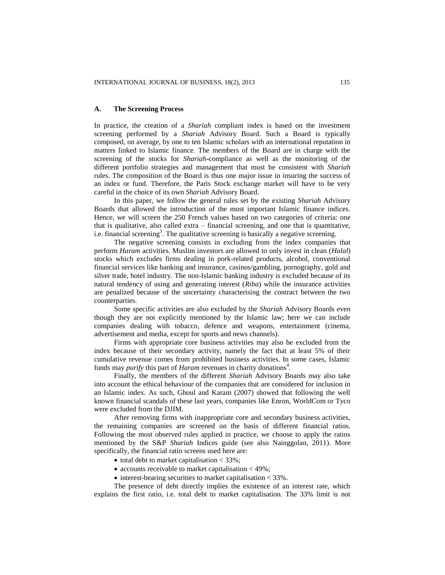## **A. The Screening Process**

In practice, the creation of a *Shariah* compliant index is based on the investment screening performed by a *Shariah* Advisory Board. Such a Board is typically composed, on average, by one to ten Islamic scholars with an international reputation in matters linked to Islamic finance. The members of the Board are in charge with the screening of the stocks for *Shariah*-compliance as well as the monitoring of the different portfolio strategies and management that must be consistent with *Shariah* rules. The composition of the Board is thus one major issue in insuring the success of an index or fund. Therefore, the Paris Stock exchange market will have to be very careful in the choice of its own *Shariah* Advisory Board.

In this paper, we follow the general rules set by the existing *Shariah* Advisory Boards that allowed the introduction of the most important Islamic finance indices. Hence, we will screen the 250 French values based on two categories of criteria: one that is qualitative, also called extra – financial screening, and one that is quantitative, i.e. financial screening<sup>3</sup>. The qualitative screening is basically a negative screening.

The negative screening consists in excluding from the index companies that perform *Haram* activities. Muslim investors are allowed to only invest in clean (*Halal*) stocks which excludes firms dealing in pork-related products, alcohol, conventional financial services like banking and insurance, casinos/gambling, pornography, gold and silver trade, hotel industry. The non-Islamic banking industry is excluded because of its natural tendency of using and generating interest (*Riba*) while the insurance activities are penalized because of the uncertainty characterising the contract between the two counterparties.

Some specific activities are also excluded by the *Shariah* Advisory Boards even though they are not explicitly mentioned by the Islamic law; here we can include companies dealing with tobacco, defence and weapons, entertainment (cinema, advertisement and media, except for sports and news channels).

Firms with appropriate core business activities may also be excluded from the index because of their secondary activity, namely the fact that at least 5% of their cumulative revenue comes from prohibited business activities. In some cases, Islamic funds may *purify* this part of *Haram* revenues in charity donations<sup>4</sup>.

Finally, the members of the different *Shariah* Advisory Boards may also take into account the ethical behaviour of the companies that are considered for inclusion in an Islamic index. As such, Ghoul and Karam (2007) showed that following the well known financial scandals of these last years, companies like Enron, WorldCom or Tyco were excluded from the DJIM.

After removing firms with inappropriate core and secondary business activities, the remaining companies are screened on the basis of different financial ratios. Following the most observed rules applied in practice, we choose to apply the ratios mentioned by the S&P *Shariah* Indices guide (see also Nainggolan, 2011). More specifically, the financial ratio screens used here are:

- total debt to market capitalisation  $<$  33%;
- accounts receivable to market capitalisation  $\lt$  49%;
- $\bullet$  interest-bearing securities to market capitalisation  $<$  33%.

The presence of debt directly implies the existence of an interest rate, which explains the first ratio, i.e. total debt to market capitalisation. The 33% limit is not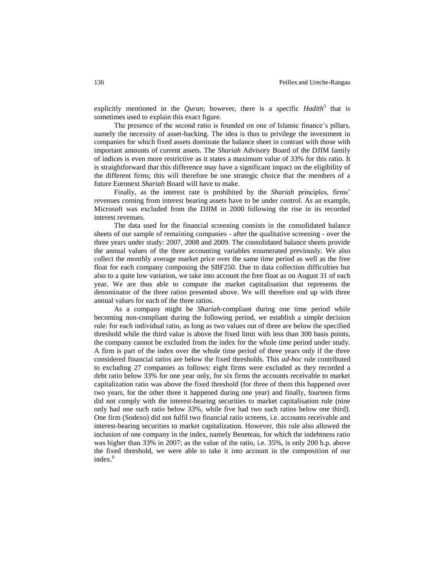explicitly mentioned in the *Quran*; however, there is a specific *Hadith<sup>5</sup>* that is sometimes used to explain this exact figure.

The presence of the second ratio is founded on one of Islamic finance's pillars, namely the necessity of asset-backing. The idea is thus to privilege the investment in companies for which fixed assets dominate the balance sheet in contrast with those with important amounts of current assets. The *Shariah* Advisory Board of the DJIM family of indices is even more restrictive as it states a maximum value of 33% for this ratio. It is straightforward that this difference may have a significant impact on the eligibility of the different firms; this will therefore be one strategic choice that the members of a future Euronext *Shariah* Board will have to make.

Finally, as the interest rate is prohibited by the *Shariah* principles, firms' revenues coming from interest bearing assets have to be under control. As an example, Microsoft was excluded from the DJIM in 2000 following the rise in its recorded interest revenues.

The data used for the financial screening consists in the consolidated balance sheets of our sample of remaining companies - after the qualitative screening - over the three years under study: 2007, 2008 and 2009. The consolidated balance sheets provide the annual values of the three accounting variables enumerated previously. We also collect the monthly average market price over the same time period as well as the free float for each company composing the SBF250. Due to data collection difficulties but also to a quite low variation, we take into account the free float as on August 31 of each year. We are thus able to compute the market capitalisation that represents the denominator of the three ratios presented above. We will therefore end up with three annual values for each of the three ratios.

As a company might be *Shariah*-compliant during one time period while becoming non-compliant during the following period, we establish a simple decision rule: for each individual ratio, as long as two values out of three are below the specified threshold while the third value is above the fixed limit with less than 300 basis points, the company cannot be excluded from the index for the whole time period under study. A firm is part of the index over the whole time period of three years only if the three considered financial ratios are below the fixed thresholds. This *ad-hoc* rule contributed to excluding 27 companies as follows: eight firms were excluded as they recorded a debt ratio below 33% for one year only, for six firms the accounts receivable to market capitalization ratio was above the fixed threshold (for three of them this happened over two years, for the other three it happened during one year) and finally, fourteen firms did not comply with the interest-bearing securities to market capitalisation rule (nine only had one such ratio below 33%, while five had two such ratios below one third). One firm (Sodexo) did not fulfil two financial ratio screens, i.e. accounts receivable and interest-bearing securities to market capitalization. However, this rule also allowed the inclusion of one company in the index, namely Beneteau, for which the indebtness ratio was higher than 33% in 2007; as the value of the ratio, i.e. 35%, is only 200 b.p. above the fixed threshold, we were able to take it into account in the composition of our index.<sup>6</sup>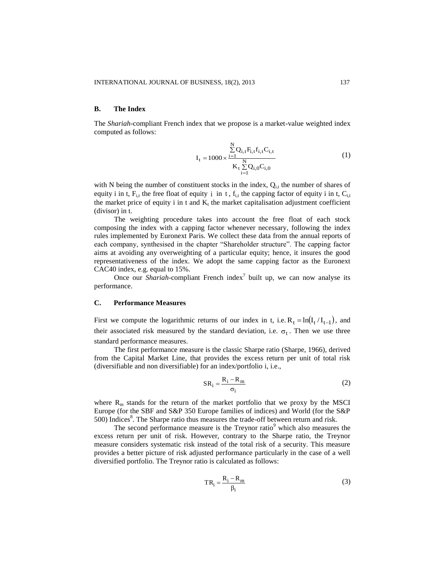## **B. The Index**

The *Shariah*-compliant French index that we propose is a market-value weighted index computed as follows:

$$
I_{t} = 1000 \times \frac{\sum_{i=1}^{N} Q_{i,t} F_{i,t} f_{i,t} C_{i,t}}{K_{t} \sum_{i=1}^{N} Q_{i,0} C_{i,0}}
$$
(1)

with N being the number of constituent stocks in the index,  $Q_{i,t}$  the number of shares of equity i in t,  $F_{i,t}$  the free float of equity i in t,  $f_{i,t}$  the capping factor of equity i in t,  $C_{i,t}$ the market price of equity  $i$  in t and  $K_t$  the market capitalisation adjustment coefficient (divisor) in t.

The weighting procedure takes into account the free float of each stock composing the index with a capping factor whenever necessary, following the index rules implemented by Euronext Paris. We collect these data from the annual reports of each company, synthesised in the chapter "Shareholder structure". The capping factor aims at avoiding any overweighting of a particular equity; hence, it insures the good representativeness of the index. We adopt the same capping factor as the Euronext CAC40 index, e.g. equal to 15%.

Once our *Shariah*-compliant French index<sup>7</sup> built up, we can now analyse its performance.

## **C. Performance Measures**

First we compute the logarithmic returns of our index in t, i.e.  $R_t = ln(I_t / I_{t-1})$ , and their associated risk measured by the standard deviation, i.e.  $\sigma_t$ . Then we use three standard performance measures.

The first performance measure is the classic Sharpe ratio (Sharpe, 1966), derived from the Capital Market Line, that provides the excess return per unit of total risk (diversifiable and non diversifiable) for an index/portfolio i, i.e.,

$$
SR_i = \frac{R_i - R_m}{\sigma_i} \tag{2}
$$

where  $R_m$  stands for the return of the market portfolio that we proxy by the MSCI Europe (for the SBF and S&P 350 Europe families of indices) and World (for the S&P 500) Indices<sup>8</sup>. The Sharpe ratio thus measures the trade-off between return and risk.

The second performance measure is the Treynor ratio $9$  which also measures the excess return per unit of risk. However, contrary to the Sharpe ratio, the Treynor measure considers systematic risk instead of the total risk of a security. This measure provides a better picture of risk adjusted performance particularly in the case of a well diversified portfolio. The Treynor ratio is calculated as follows:

$$
TR_i = \frac{R_i - R_m}{\beta_i} \tag{3}
$$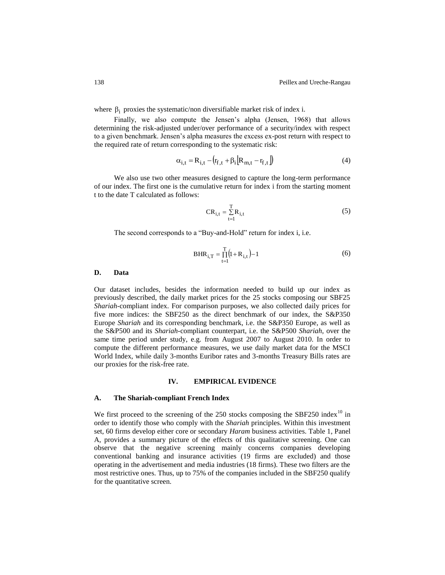where  $\beta_i$  proxies the systematic/non diversifiable market risk of index i.

Finally, we also compute the Jensen's alpha (Jensen, 1968) that allows determining the risk-adjusted under/over performance of a security/index with respect to a given benchmark. Jensen's alpha measures the excess ex-post return with respect to the required rate of return corresponding to the systematic risk:

$$
\alpha_{i,t} = R_{i,t} - (r_{f,t} + \beta_i) R_{m,t} - r_{f,t} \tag{4}
$$

We also use two other measures designed to capture the long-term performance of our index. The first one is the cumulative return for index i from the starting moment t to the date T calculated as follows:

$$
CR_{i,t} = \sum_{t=1}^{T} R_{i,t}
$$
 (5)

The second corresponds to a "Buy-and-Hold" return for index i, i.e.

$$
BHR_{i,T} = \prod_{t=1}^{T} (1 + R_{i,t}) - 1
$$
 (6)

#### **D. Data**

Our dataset includes, besides the information needed to build up our index as previously described, the daily market prices for the 25 stocks composing our SBF25 *Shariah*-compliant index. For comparison purposes, we also collected daily prices for five more indices: the SBF250 as the direct benchmark of our index, the S&P350 Europe *Shariah* and its corresponding benchmark, i.e. the S&P350 Europe, as well as the S&P500 and its *Shariah*-compliant counterpart, i.e. the S&P500 *Shariah*, over the same time period under study, e.g. from August 2007 to August 2010. In order to compute the different performance measures, we use daily market data for the MSCI World Index, while daily 3-months Euribor rates and 3-months Treasury Bills rates are our proxies for the risk-free rate.

## **IV. EMPIRICAL EVIDENCE**

#### **A. The Shariah-compliant French Index**

We first proceed to the screening of the 250 stocks composing the SBF250 index<sup>10</sup> in order to identify those who comply with the *Shariah* principles. Within this investment set, 60 firms develop either core or secondary *Haram* business activities. Table 1, Panel A, provides a summary picture of the effects of this qualitative screening. One can observe that the negative screening mainly concerns companies developing conventional banking and insurance activities (19 firms are excluded) and those operating in the advertisement and media industries (18 firms). These two filters are the most restrictive ones. Thus, up to 75% of the companies included in the SBF250 qualify for the quantitative screen.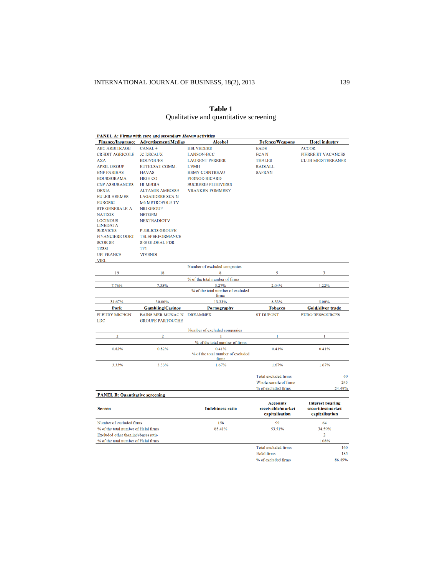| <b>PANEL A: Firms with core and secondary Haram activities</b>              |                                        |                                            |                                      |                                              |  |  |  |  |
|-----------------------------------------------------------------------------|----------------------------------------|--------------------------------------------|--------------------------------------|----------------------------------------------|--|--|--|--|
|                                                                             | Finance/Insurance Advertisement/Medias | <b>Alcohol</b>                             | <b>Defence/Weapons</b>               | <b>Hotel industry</b>                        |  |  |  |  |
| <b>ABC ARBITRAGE</b>                                                        | CANAL+                                 | <b>BELVEDERE</b>                           | <b>EADS</b>                          | <b>ACCOR</b>                                 |  |  |  |  |
| <b>CREDIT AGRICOLE</b>                                                      | <b>JC DECAUX</b>                       | <b>LANSON-BCC</b>                          | <b>ECAN</b>                          | <b>PIERRE ET VACANCES</b>                    |  |  |  |  |
| <b>AXA</b>                                                                  | <b>BOUYGUES</b>                        | <b>LAURENT PERRIER</b>                     | <b>THALES</b>                        | <b>CLUB MEDITERRANEE</b>                     |  |  |  |  |
| <b>APRIL GROUP</b>                                                          | <b>EUTELSAT COMM.</b>                  | <b>LVMH</b>                                | <b>RADIALL</b>                       |                                              |  |  |  |  |
| <b>BNP PARIBAS</b>                                                          | <b>HAVAS</b>                           | <b>REMY COINTREAU</b>                      | <b>SAFRAN</b>                        |                                              |  |  |  |  |
| <b>BOURSORAMA</b>                                                           | <b>HIGH CO</b>                         | <b>PERNOD RICARD</b>                       |                                      |                                              |  |  |  |  |
| <b>CNP ASSURANCES</b>                                                       | <b>HI-MEDIA</b>                        | <b>SUCRERIE PITHIVIERS</b>                 |                                      |                                              |  |  |  |  |
| <b>DEXIA</b>                                                                | <b>ALTAMIR AMBOISE</b>                 | <b>VRANKEN-POMMERY</b>                     |                                      |                                              |  |  |  |  |
| <b>EULER HERMES</b>                                                         | <b>LAGARDERE SCA N</b>                 |                                            |                                      |                                              |  |  |  |  |
| <b>EUROSIC</b>                                                              | <b>M6 METROPOLE TV</b>                 |                                            |                                      |                                              |  |  |  |  |
| <b>STE GENERALE-A-</b>                                                      | <b>NRJ GROUP</b>                       |                                            |                                      |                                              |  |  |  |  |
| <b>NATIXIS</b>                                                              | <b>NETGEM</b>                          |                                            |                                      |                                              |  |  |  |  |
| <b>LOCINDUS</b>                                                             | <b>NEXTRADIOTV</b>                     |                                            |                                      |                                              |  |  |  |  |
| <b>LINEDATA</b>                                                             |                                        |                                            |                                      |                                              |  |  |  |  |
| <b>SERVICES</b>                                                             | <b>PUBLICIS GROUPE</b>                 |                                            |                                      |                                              |  |  |  |  |
| <b>FINANCIERE ODET</b>                                                      | <b>TELEPERFORMANCE</b>                 |                                            |                                      |                                              |  |  |  |  |
| <b>SCOR SE</b>                                                              | <b>SES GLOBAL FDR</b>                  |                                            |                                      |                                              |  |  |  |  |
| <b>TESSI</b>                                                                | TF1                                    |                                            |                                      |                                              |  |  |  |  |
| <b>UFI FRANCE</b>                                                           | <b>VIVENDI</b>                         |                                            |                                      |                                              |  |  |  |  |
| <b>VIEL</b>                                                                 |                                        | Number of excluded companies               |                                      |                                              |  |  |  |  |
| 19                                                                          | 18                                     | 8                                          | 5                                    | 3                                            |  |  |  |  |
|                                                                             |                                        | % of the total number of firms             |                                      |                                              |  |  |  |  |
| 7.76%                                                                       | 7.35%                                  | 3 27%                                      | 2.04%                                | 1.22%                                        |  |  |  |  |
|                                                                             |                                        | % of the total number of excluded          |                                      |                                              |  |  |  |  |
|                                                                             |                                        | firms                                      |                                      |                                              |  |  |  |  |
|                                                                             |                                        |                                            |                                      |                                              |  |  |  |  |
| 31.67%                                                                      | 30.00%                                 | 13.33%                                     | 8.33%                                | 5.00%                                        |  |  |  |  |
| Pork                                                                        | <b>Gambling/Casinos</b>                | Pornography                                | <b>Tobacco</b>                       | <b>Gold/silver trade</b>                     |  |  |  |  |
| <b>FLEURY MICHON</b>                                                        | <b>BAINS MER MONAC N</b>               | <b>DREAMNEX</b>                            | <b>ST DUPONT</b>                     | <b>EURO RESSOURCES</b>                       |  |  |  |  |
| <b>LDC</b>                                                                  | <b>GROUPE PARTOUCHE</b>                |                                            |                                      |                                              |  |  |  |  |
|                                                                             |                                        |                                            |                                      |                                              |  |  |  |  |
| $\overline{2}$                                                              | $\overline{2}$                         | Number of excluded companies               | 1                                    | 1                                            |  |  |  |  |
|                                                                             |                                        |                                            |                                      |                                              |  |  |  |  |
|                                                                             |                                        | % of the total number of firms             |                                      |                                              |  |  |  |  |
| 0.82%                                                                       | 0.82%                                  | 0.41%<br>% of the total number of excluded | 0.41%                                | 0.41%                                        |  |  |  |  |
|                                                                             |                                        | firms                                      |                                      |                                              |  |  |  |  |
| 3.33%                                                                       | 3.33%                                  | 1.67%                                      | 1.67%                                | 1.67%                                        |  |  |  |  |
|                                                                             |                                        |                                            | <b>Total excluded firms</b>          | 60                                           |  |  |  |  |
|                                                                             |                                        |                                            | Whole sample of firms                | 245                                          |  |  |  |  |
|                                                                             |                                        |                                            | % of excluded firms                  | 24.49%                                       |  |  |  |  |
| <b>PANEL B: Quantitative screening</b>                                      |                                        |                                            |                                      |                                              |  |  |  |  |
|                                                                             |                                        |                                            |                                      |                                              |  |  |  |  |
| <b>Screen</b>                                                               |                                        | <b>Indebtness ratio</b>                    | <b>Accounts</b><br>receivable/market | <b>Interest bearing</b><br>securities/market |  |  |  |  |
|                                                                             |                                        |                                            | capitalisation                       | capitalisation                               |  |  |  |  |
|                                                                             |                                        |                                            |                                      |                                              |  |  |  |  |
| Number of excluded firms                                                    |                                        | 158                                        | 99                                   | 64                                           |  |  |  |  |
| % of the total number of Halal firms                                        |                                        | 85.41%                                     | 53.51%                               | 34.59%                                       |  |  |  |  |
| Excluded other than indebness ratio<br>% of the total number of Halal firms |                                        |                                            |                                      | $\overline{2}$<br>1.08%                      |  |  |  |  |
|                                                                             |                                        |                                            | <b>Total excluded firms</b>          | 160                                          |  |  |  |  |
|                                                                             |                                        |                                            | <b>Halal</b> firms                   | 185                                          |  |  |  |  |

**Table 1** Qualitative and quantitative screening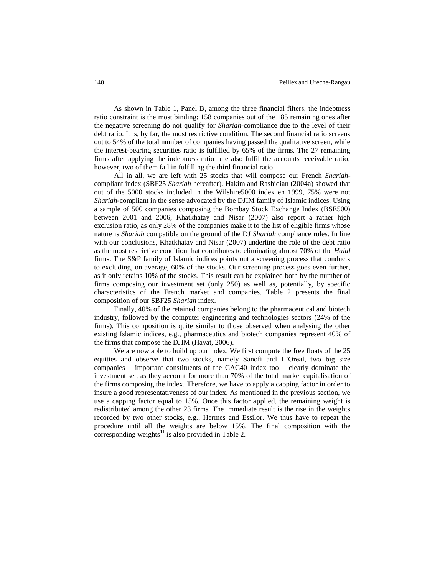As shown in Table 1, Panel B, among the three financial filters, the indebtness ratio constraint is the most binding; 158 companies out of the 185 remaining ones after the negative screening do not qualify for *Shariah*-compliance due to the level of their debt ratio. It is, by far, the most restrictive condition. The second financial ratio screens out to 54% of the total number of companies having passed the qualitative screen, while the interest-bearing securities ratio is fulfilled by 65% of the firms. The 27 remaining firms after applying the indebtness ratio rule also fulfil the accounts receivable ratio; however, two of them fail in fulfilling the third financial ratio.

All in all, we are left with 25 stocks that will compose our French *Shariah*compliant index (SBF25 *Shariah* hereafter). Hakim and Rashidian (2004a) showed that out of the 5000 stocks included in the Wilshire5000 index en 1999, 75% were not *Shariah*-compliant in the sense advocated by the DJIM family of Islamic indices. Using a sample of 500 companies composing the Bombay Stock Exchange Index (BSE500) between 2001 and 2006, Khatkhatay and Nisar (2007) also report a rather high exclusion ratio, as only 28% of the companies make it to the list of eligible firms whose nature is *Shariah* compatible on the ground of the DJ *Shariah* compliance rules. In line with our conclusions, Khatkhatay and Nisar (2007) underline the role of the debt ratio as the most restrictive condition that contributes to eliminating almost 70% of the *Halal* firms. The S&P family of Islamic indices points out a screening process that conducts to excluding, on average, 60% of the stocks. Our screening process goes even further, as it only retains 10% of the stocks. This result can be explained both by the number of firms composing our investment set (only 250) as well as, potentially, by specific characteristics of the French market and companies. Table 2 presents the final composition of our SBF25 *Shariah* index.

Finally, 40% of the retained companies belong to the pharmaceutical and biotech industry, followed by the computer engineering and technologies sectors (24% of the firms). This composition is quite similar to those observed when analysing the other existing Islamic indices, e.g., pharmaceutics and biotech companies represent 40% of the firms that compose the DJIM (Hayat, 2006).

We are now able to build up our index. We first compute the free floats of the 25 equities and observe that two stocks, namely Sanofi and L'Oreal, two big size companies – important constituents of the CAC40 index too – clearly dominate the investment set, as they account for more than 70% of the total market capitalisation of the firms composing the index. Therefore, we have to apply a capping factor in order to insure a good representativeness of our index. As mentioned in the previous section, we use a capping factor equal to 15%. Once this factor applied, the remaining weight is redistributed among the other 23 firms. The immediate result is the rise in the weights recorded by two other stocks, e.g., Hermes and Essilor. We thus have to repeat the procedure until all the weights are below 15%. The final composition with the corresponding weights $^{11}$  is also provided in Table 2.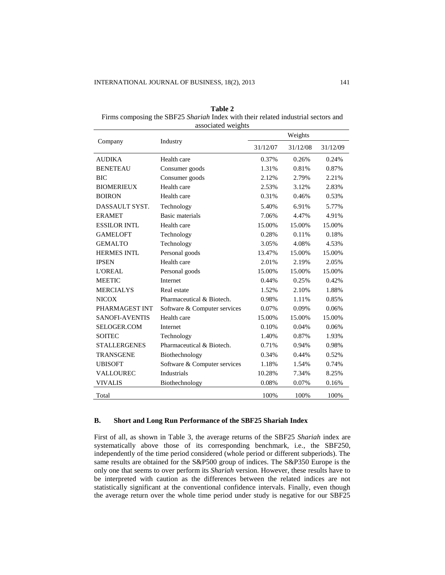| Table 2                                                                           |
|-----------------------------------------------------------------------------------|
| Firms composing the SBF25 Shariah Index with their related industrial sectors and |
| associated weights                                                                |

|                       | abboomeer morghes            | Weights  |          |          |  |  |
|-----------------------|------------------------------|----------|----------|----------|--|--|
| Company               | Industry                     | 31/12/07 | 31/12/08 | 31/12/09 |  |  |
| <b>AUDIKA</b>         | Health care                  | 0.37%    | 0.26%    | 0.24%    |  |  |
| <b>BENETEAU</b>       | Consumer goods               | 1.31%    | 0.81%    | 0.87%    |  |  |
| <b>BIC</b>            | Consumer goods               | 2.12%    | 2.79%    | 2.21%    |  |  |
| <b>BIOMERIEUX</b>     | Health care                  | 2.53%    | 3.12%    | 2.83%    |  |  |
| <b>BOIRON</b>         | Health care                  | 0.31%    | 0.46%    | 0.53%    |  |  |
| DASSAULT SYST.        | Technology                   | 5.40%    | 6.91%    | 5.77%    |  |  |
| <b>ERAMET</b>         | Basic materials              | 7.06%    | 4.47%    | 4.91%    |  |  |
| <b>ESSILOR INTL</b>   | Health care                  | 15.00%   | 15.00%   | 15.00%   |  |  |
| <b>GAMELOFT</b>       | Technology                   | 0.28%    | 0.11%    | 0.18%    |  |  |
| <b>GEMALTO</b>        | Technology                   | 3.05%    | 4.08%    | 4.53%    |  |  |
| <b>HERMES INTL</b>    | Personal goods               | 13.47%   | 15.00%   | 15.00%   |  |  |
| <b>IPSEN</b>          | Health care                  | 2.01%    | 2.19%    | 2.05%    |  |  |
| <b>L'OREAL</b>        | Personal goods               | 15.00%   | 15.00%   | 15.00%   |  |  |
| <b>MEETIC</b>         | Internet                     | 0.44%    | 0.25%    | 0.42%    |  |  |
| <b>MERCIALYS</b>      | Real estate                  | 1.52%    | 2.10%    | 1.88%    |  |  |
| <b>NICOX</b>          | Pharmaceutical & Biotech.    | 0.98%    | 1.11%    | 0.85%    |  |  |
| PHARMAGEST INT        | Software & Computer services | 0.07%    | 0.09%    | 0.06%    |  |  |
| <b>SANOFI-AVENTIS</b> | Health care                  | 15.00%   | 15.00%   | 15.00%   |  |  |
| SELOGER.COM           | Internet                     | 0.10%    | 0.04%    | 0.06%    |  |  |
| <b>SOITEC</b>         | Technology                   | 1.40%    | 0.87%    | 1.93%    |  |  |
| <b>STALLERGENES</b>   | Pharmaceutical & Biotech.    | 0.71%    | 0.94%    | 0.98%    |  |  |
| <b>TRANSGENE</b>      | Biothechnology               | 0.34%    | 0.44%    | 0.52%    |  |  |
| <b>UBISOFT</b>        | Software & Computer services | 1.18%    | 1.54%    | 0.74%    |  |  |
| VALLOUREC             | Industrials                  | 10.28%   | 7.34%    | 8.25%    |  |  |
| <b>VIVALIS</b>        | Biothechnology               | 0.08%    | 0.07%    | 0.16%    |  |  |
| Total                 |                              | 100%     | 100%     | 100%     |  |  |

## **B. Short and Long Run Performance of the SBF25 Shariah Index**

First of all, as shown in Table 3, the average returns of the SBF25 *Shariah* index are systematically above those of its corresponding benchmark, i.e., the SBF250, independently of the time period considered (whole period or different subperiods). The same results are obtained for the S&P500 group of indices. The S&P350 Europe is the only one that seems to over perform its *Shariah* version. However, these results have to be interpreted with caution as the differences between the related indices are not statistically significant at the conventional confidence intervals. Finally, even though the average return over the whole time period under study is negative for our SBF25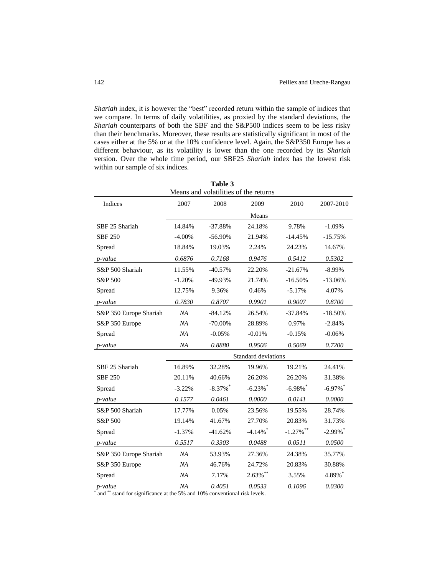*Shariah* index, it is however the "best" recorded return within the sample of indices that we compare. In terms of daily volatilities, as proxied by the standard deviations, the *Shariah* counterparts of both the SBF and the S&P500 indices seem to be less risky than their benchmarks. Moreover, these results are statistically significant in most of the cases either at the 5% or at the 10% confidence level. Again, the S&P350 Europe has a different behaviour, as its volatility is lower than the one recorded by its *Shariah*  version. Over the whole time period, our SBF25 *Shariah* index has the lowest risk within our sample of six indices.

| 1 avie J<br>Means and volatilities of the returns |          |             |                            |              |                        |  |
|---------------------------------------------------|----------|-------------|----------------------------|--------------|------------------------|--|
| Indices                                           | 2007     | 2008        | 2009                       | 2010         | 2007-2010              |  |
|                                                   |          |             | Means                      |              |                        |  |
| SBF 25 Shariah                                    | 14.84%   | $-37.88%$   | 24.18%                     | 9.78%        | $-1.09%$               |  |
| <b>SBF 250</b>                                    | $-4.00%$ | $-56.90%$   | 21.94%                     | $-14.45%$    | $-15.75%$              |  |
| Spread                                            | 18.84%   | 19.03%      | 2.24%                      | 24.23%       | 14.67%                 |  |
| p-value                                           | 0.6876   | 0.7168      | 0.9476                     | 0.5412       | 0.5302                 |  |
| S&P 500 Shariah                                   | 11.55%   | $-40.57%$   | 22.20%                     | $-21.67%$    | $-8.99\%$              |  |
| S&P 500                                           | $-1.20%$ | -49.93%     | 21.74%                     | $-16.50%$    | $-13.06%$              |  |
| Spread                                            | 12.75%   | 9.36%       | 0.46%                      | $-5.17%$     | 4.07%                  |  |
| p-value                                           | 0.7830   | 0.8707      | 0.9901                     | 0.9007       | 0.8700                 |  |
| S&P 350 Europe Shariah                            | NA       | $-84.12%$   | 26.54%                     | $-37.84%$    | $-18.50%$              |  |
| S&P 350 Europe                                    | NA       | $-70.00\%$  | 28.89%                     | 0.97%        | $-2.84%$               |  |
| Spread                                            | NA       | $-0.05%$    | $-0.01%$                   | $-0.15%$     | $-0.06%$               |  |
| <i>p</i> -value                                   | NA       | 0.8880      | 0.9506                     | 0.5069       | 0.7200                 |  |
|                                                   |          |             | <b>Standard deviations</b> |              |                        |  |
| SBF 25 Shariah                                    | 16.89%   | 32.28%      | 19.96%                     | 19.21%       | 24.41%                 |  |
| <b>SBF 250</b>                                    | 20.11%   | 40.66%      | 26.20%                     | 26.20%       | 31.38%                 |  |
| Spread                                            | $-3.22%$ | $-8.37\%$ * | $-6.23%$                   | $-6.98\%$ *  | $-6.97\%$ <sup>*</sup> |  |
| <i>p</i> -value                                   | 0.1577   | 0.0461      | 0.0000                     | 0.0141       | 0.0000                 |  |
| S&P 500 Shariah                                   | 17.77%   | 0.05%       | 23.56%                     | 19.55%       | 28.74%                 |  |
| S&P 500                                           | 19.14%   | 41.67%      | 27.70%                     | 20.83%       | 31.73%                 |  |
| Spread                                            | $-1.37%$ | $-41.62%$   | $-4.14\%$ <sup>*</sup>     | $-1.27\%$ ** | $-2.99\%$              |  |
| <i>p</i> -value                                   | 0.5517   | 0.3303      | 0.0488                     | 0.0511       | 0.0500                 |  |
| S&P 350 Europe Shariah                            | NA       | 53.93%      | 27.36%                     | 24.38%       | 35.77%                 |  |
| S&P 350 Europe                                    | NA       | 46.76%      | 24.72%                     | 20.83%       | 30.88%                 |  |
| Spread                                            | NA       | 7.17%       | $2.63\%$ **                | 3.55%        | 4.89%*                 |  |
| p-value                                           | NA       | 0.4051      | 0.0533                     | 0.1096       | 0.0300                 |  |

**Table 3**

\* and \*\* stand for significance at the 5% and 10% conventional risk levels.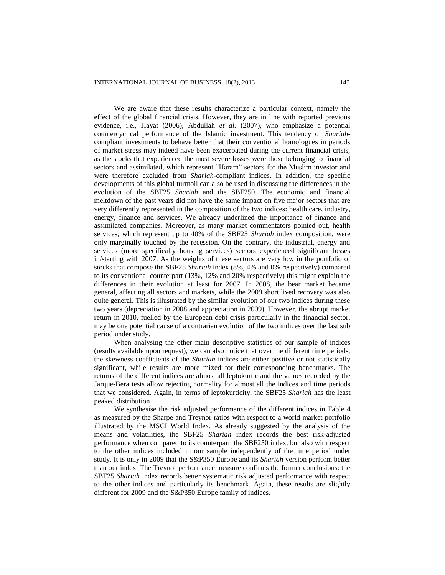We are aware that these results characterize a particular context, namely the effect of the global financial crisis. However, they are in line with reported previous evidence, i.e., Hayat (2006), Abdullah *et al.* (2007), who emphasize a potential countercyclical performance of the Islamic investment. This tendency of *Shariah*compliant investments to behave better that their conventional homologues in periods of market stress may indeed have been exacerbated during the current financial crisis, as the stocks that experienced the most severe losses were those belonging to financial sectors and assimilated, which represent "Haram" sectors for the Muslim investor and were therefore excluded from *Shariah*-compliant indices. In addition, the specific developments of this global turmoil can also be used in discussing the differences in the evolution of the SBF25 *Shariah* and the SBF250. The economic and financial meltdown of the past years did not have the same impact on five major sectors that are very differently represented in the composition of the two indices: health care, industry, energy, finance and services. We already underlined the importance of finance and assimilated companies. Moreover, as many market commentators pointed out, health services, which represent up to 40% of the SBF25 *Shariah* index composition, were only marginally touched by the recession. On the contrary, the industrial, energy and services (more specifically housing services) sectors experienced significant losses in/starting with 2007. As the weights of these sectors are very low in the portfolio of stocks that compose the SBF25 *Shariah* index (8%, 4% and 0% respectively) compared to its conventional counterpart (13%, 12% and 20% respectively) this might explain the differences in their evolution at least for 2007. In 2008, the bear market became general, affecting all sectors and markets, while the 2009 short lived recovery was also quite general. This is illustrated by the similar evolution of our two indices during these two years (depreciation in 2008 and appreciation in 2009). However, the abrupt market return in 2010, fuelled by the European debt crisis particularly in the financial sector, may be one potential cause of a contrarian evolution of the two indices over the last sub period under study.

When analysing the other main descriptive statistics of our sample of indices (results available upon request), we can also notice that over the different time periods, the skewness coefficients of the *Shariah* indices are either positive or not statistically significant, while results are more mixed for their corresponding benchmarks. The returns of the different indices are almost all leptokurtic and the values recorded by the Jarque-Bera tests allow rejecting normality for almost all the indices and time periods that we considered. Again, in terms of leptokurticity, the SBF25 *Shariah* has the least peaked distribution

We synthesise the risk adjusted performance of the different indices in Table 4 as measured by the Sharpe and Treynor ratios with respect to a world market portfolio illustrated by the MSCI World Index. As already suggested by the analysis of the means and volatilities, the SBF25 *Shariah* index records the best risk-adjusted performance when compared to its counterpart, the SBF250 index, but also with respect to the other indices included in our sample independently of the time period under study. It is only in 2009 that the S&P350 Europe and its *Shariah* version perform better than our index. The Treynor performance measure confirms the former conclusions: the SBF25 *Shariah* index records better systematic risk adjusted performance with respect to the other indices and particularly its benchmark. Again, these results are slightly different for 2009 and the S&P350 Europe family of indices.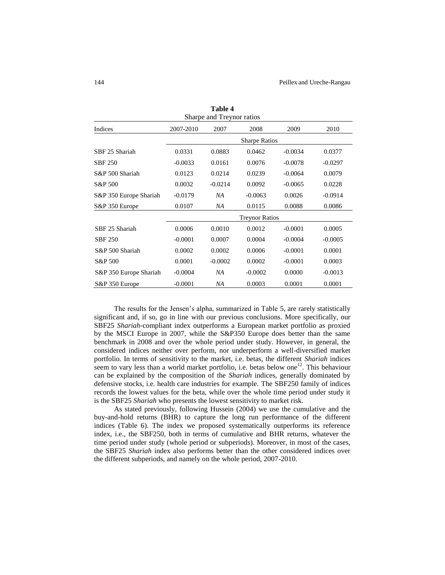| таріс 4<br>Sharpe and Treynor ratios |                       |           |           |           |           |  |  |
|--------------------------------------|-----------------------|-----------|-----------|-----------|-----------|--|--|
| Indices                              | 2007-2010             | 2007      | 2008      | 2009      | 2010      |  |  |
|                                      | <b>Sharpe Ratios</b>  |           |           |           |           |  |  |
| SBF 25 Shariah                       | 0.0331                | 0.0883    | 0.0462    | $-0.0034$ | 0.0377    |  |  |
| <b>SBF 250</b>                       | $-0.0033$             | 0.0161    | 0.0076    | $-0.0078$ | $-0.0297$ |  |  |
| S&P 500 Shariah                      | 0.0123                | 0.0214    | 0.0239    | $-0.0064$ | 0.0079    |  |  |
| S&P 500                              | 0.0032                | $-0.0214$ | 0.0092    | $-0.0065$ | 0.0228    |  |  |
| S&P 350 Europe Shariah               | $-0.0179$             | NA        | $-0.0063$ | 0.0026    | $-0.0914$ |  |  |
| S&P 350 Europe                       | 0.0107                | NA        | 0.0115    | 0.0088    | 0.0086    |  |  |
|                                      | <b>Treynor Ratios</b> |           |           |           |           |  |  |
| SBF 25 Shariah                       | 0.0006                | 0.0010    | 0.0012    | $-0.0001$ | 0.0005    |  |  |
| <b>SBF 250</b>                       | $-0.0001$             | 0.0007    | 0.0004    | $-0.0004$ | $-0.0005$ |  |  |
| S&P 500 Shariah                      | 0.0002                | 0.0002    | 0.0006    | $-0.0001$ | 0.0001    |  |  |
| S&P 500                              | 0.0001                | $-0.0002$ | 0.0002    | $-0.0001$ | 0.0003    |  |  |
| S&P 350 Europe Shariah               | $-0.0004$             | NA        | $-0.0002$ | 0.0000    | $-0.0013$ |  |  |
| S&P 350 Europe                       | $-0.0001$             | NA        | 0.0003    | 0.0001    | 0.0001    |  |  |

**Table 4**

The results for the Jensen's alpha, summarized in Table 5, are rarely statistically significant and, if so, go in line with our previous conclusions. More specifically, our SBF25 *Shariah*-compliant index outperforms a European market portfolio as proxied by the MSCI Europe in 2007, while the S&P350 Europe does better than the same benchmark in 2008 and over the whole period under study. However, in general, the considered indices neither over perform, nor underperform a well-diversified market portfolio. In terms of sensitivity to the market, i.e. betas, the different *Shariah* indices seem to vary less than a world market portfolio, i.e. betas below one<sup>12</sup>. This behaviour can be explained by the composition of the *Shariah* indices, generally dominated by defensive stocks, i.e. health care industries for example. The SBF250 family of indices records the lowest values for the beta, while over the whole time period under study it is the SBF25 *Shariah* who presents the lowest sensitivity to market risk.

As stated previously, following Hussein (2004) we use the cumulative and the buy-and-hold returns (BHR) to capture the long run performance of the different indices (Table 6). The index we proposed systematically outperforms its reference index, i.e., the SBF250, both in terms of cumulative and BHR returns, whatever the time period under study (whole period or subperiods). Moreover, in most of the cases, the SBF25 *Shariah* index also performs better than the other considered indices over the different subperiods, and namely on the whole period, 2007-2010.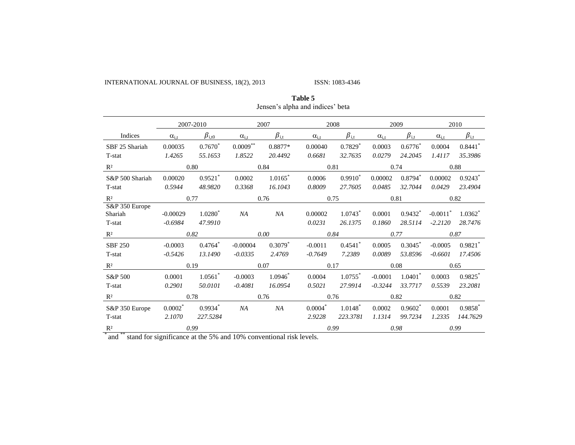INTERNATIONAL JOURNAL OF BUSINESS, 18(2), 2013 ISSN: 1083-4346

|                                     |                         | 2007-2010             |                | 2007                  | 2008              |                                  | 2009             |                       | 2010                                |                       |  |
|-------------------------------------|-------------------------|-----------------------|----------------|-----------------------|-------------------|----------------------------------|------------------|-----------------------|-------------------------------------|-----------------------|--|
| Indices                             | $\alpha_{i,t}$          | $\beta_{\rm i, t0}$   | $\alpha_{i,t}$ | $\beta_{\rm i,t}$     | $\alpha_{i,t}$    | $\beta_{\rm i,t}$                | $\alpha_{i,t}$   | $\beta_{\rm i,t}$     | $\alpha_{i,t}$                      | $\beta_{\rm i,t}$     |  |
| SBF 25 Shariah                      | 0.00035                 | $0.7670*$             | $0.0009***$    | 0.8877*               | 0.00040           | $0.7829*$                        | 0.0003           | $0.6776*$             | 0.0004                              | 0.8441                |  |
| T-stat                              | 1.4265                  | 55.1653               | 1.8522         | 20.4492               | 0.6681            | 32.7635                          | 0.0279           | 24.2045               | 1.4117                              | 35.3986               |  |
| $R^2$                               |                         | 0.80                  | 0.84           |                       | 0.81              |                                  | 0.74             |                       | 0.88                                |                       |  |
| S&P 500 Shariah                     | 0.00020                 | $0.9521$ *            | 0.0002         | $1.0165$ <sup>*</sup> | 0.0006            | $0.9910^*$                       | 0.00002          | $0.8794$ <sup>*</sup> | 0.00002                             | $0.9243$ <sup>*</sup> |  |
| T-stat                              | 0.5944                  | 48.9820               | 0.3368         | 16.1043               | 0.8009            | 27.7605                          | 0.0485           | 32.7044               | 0.0429                              | 23.4904               |  |
| $R^2$                               |                         | 0.77                  |                | 0.76                  |                   | 0.75                             |                  | 0.81                  |                                     | 0.82                  |  |
| S&P 350 Europe<br>Shariah<br>T-stat | $-0.00029$<br>$-0.6984$ | $1.0280^*$<br>47.9910 | NA             | NA                    | 0.00002<br>0.0231 | $1.0743$ <sup>*</sup><br>26.1375 | 0.0001<br>0.1860 | $0.9432^*$<br>28.5114 | $-0.0011$ <sup>*</sup><br>$-2.2120$ | $1.0362^*$<br>28.7476 |  |
| $R^2$                               |                         | 0.82                  |                | 0.00                  | 0.84              |                                  | 0.77             |                       | 0.87                                |                       |  |
| <b>SBF 250</b>                      | $-0.0003$               | $0.4764*$             | $-0.00004$     | $0.3079$ <sup>*</sup> | $-0.0011$         | 0.4541                           | 0.0005           | $0.3045^*$            | $-0.0005$                           | $0.9821$ *            |  |
| T-stat                              | $-0.5426$               | 13.1490               | $-0.0335$      | 2.4769                | $-0.7649$         | 7.2389                           | 0.0089           | 53.8596               | $-0.6601$                           | 17.4506               |  |
| $R^2$                               |                         | 0.19<br>0.07          |                | 0.17                  |                   | 0.08                             |                  | 0.65                  |                                     |                       |  |
| S&P 500                             | 0.0001                  | $1.0561$ *            | $-0.0003$      | $1.0946*$             | 0.0004            | $1.0755$ *                       | $-0.0001$        | $1.0401$ <sup>*</sup> | 0.0003                              | 0.9825                |  |
| T-stat                              | 0.2901                  | 50.0101               | $-0.4081$      | 16.0954               | 0.5021            | 27.9914                          | $-0.3244$        | 33.7717               | 0.5539                              | 23.2081               |  |
| $R^2$                               |                         | 0.78                  | 0.76           |                       |                   | 0.76                             |                  | 0.82                  |                                     | 0.82                  |  |
| S&P 350 Europe                      | $0.0002^*$              | $0.9934$ <sup>*</sup> | NA             | NA                    | $0.0004*$         | $1.0148^*$                       | 0.0002           | $0.9602^*$            | 0.0001                              | $0.9858$ <sup>*</sup> |  |
| T-stat                              | 2.1070                  | 227.5284              |                |                       | 2.9228            | 223.3781                         | 1.1314           | 99.7234               | 1.2335                              | 144.7629              |  |
| R <sup>2</sup>                      | 0.99                    |                       | 0.99           |                       | 0.98              |                                  | 0.99             |                       |                                     |                       |  |

**Table 5** Jensen's alpha and indices' beta

<sup>\*</sup> and <sup>\*\*</sup> stand for significance at the 5% and 10% conventional risk levels.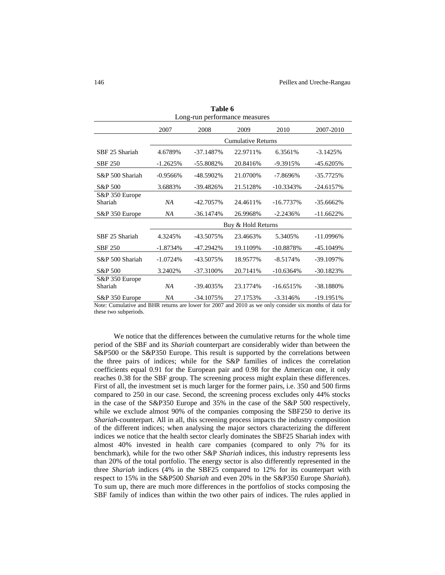| Long-run performance measures |                           |              |                    |              |              |  |  |  |  |
|-------------------------------|---------------------------|--------------|--------------------|--------------|--------------|--|--|--|--|
|                               | 2007                      | 2008         | 2009               | 2010         | 2007-2010    |  |  |  |  |
|                               | <b>Cumulative Returns</b> |              |                    |              |              |  |  |  |  |
| SBF 25 Shariah                | 4.6789%                   | -37.1487%    | 22.9711%           | 6.3561%      | $-3.1425%$   |  |  |  |  |
| <b>SBF 250</b>                | $-1.2625%$                | -55.8082%    | 20.8416%           | $-9.3915%$   | $-45.6205%$  |  |  |  |  |
| S&P 500 Shariah               | $-0.9566\%$               | -48.5902%    | 21.0700\%          | $-7.8696\%$  | $-35.7725%$  |  |  |  |  |
| S&P 500                       | 3.6883%                   | -39.4826%    | 21.5128%           | $-10.3343%$  | $-24.6157%$  |  |  |  |  |
| S&P 350 Europe<br>Shariah     | NΑ                        | -42.7057%    | 24.4611%           | $-16.7737\%$ | $-35.6662\%$ |  |  |  |  |
| S&P 350 Europe                | NΑ                        | $-36.1474%$  | 26.9968%           | $-2.2436%$   | $-11.6622%$  |  |  |  |  |
|                               |                           |              | Buy & Hold Returns |              |              |  |  |  |  |
| SBF 25 Shariah                | 4.3245%                   | -43.5075%    | 23.4663%           | 5.3405%      | $-11.0996\%$ |  |  |  |  |
| <b>SBF 250</b>                | $-1.8734%$                | -47.2942%    | 19.1109%           | $-10.8878%$  | $-45.1049%$  |  |  |  |  |
| S&P 500 Shariah               | $-1.0724%$                | -43.5075%    | 18.9577%           | $-8.5174%$   | $-39.1097\%$ |  |  |  |  |
| S&P 500                       | 3.2402%                   | $-37.3100\%$ | 20.7141%           | $-10.6364%$  | $-30.1823%$  |  |  |  |  |
| S&P 350 Europe<br>Shariah     | NΑ                        | -39.4035%    | 23.1774%           | $-16.6515%$  | -38.1880%    |  |  |  |  |
| S&P 350 Europe                | ΝA                        | -34.1075%    | 27.1753%           | $-3.3146%$   | $-19.1951%$  |  |  |  |  |

**Table 6** Long-run performance measures

Note: Cumulative and BHR returns are lower for 2007 and 2010 as we only consider six months of data for these two subperiods.

We notice that the differences between the cumulative returns for the whole time period of the SBF and its *Shariah* counterpart are considerably wider than between the S&P500 or the S&P350 Europe. This result is supported by the correlations between the three pairs of indices; while for the S&P families of indices the correlation coefficients equal 0.91 for the European pair and 0.98 for the American one, it only reaches 0.38 for the SBF group. The screening process might explain these differences. First of all, the investment set is much larger for the former pairs, i.e. 350 and 500 firms compared to 250 in our case. Second, the screening process excludes only 44% stocks in the case of the S&P350 Europe and 35% in the case of the S&P 500 respectively, while we exclude almost 90% of the companies composing the SBF250 to derive its *Shariah*-counterpart. All in all, this screening process impacts the industry composition of the different indices; when analysing the major sectors characterizing the different indices we notice that the health sector clearly dominates the SBF25 Shariah index with almost 40% invested in health care companies (compared to only 7% for its benchmark), while for the two other S&P *Shariah* indices, this industry represents less than 20% of the total portfolio. The energy sector is also differently represented in the three *Shariah* indices (4% in the SBF25 compared to 12% for its counterpart with respect to 15% in the S&P500 *Shariah* and even 20% in the S&P350 Europe *Shariah*). To sum up, there are much more differences in the portfolios of stocks composing the SBF family of indices than within the two other pairs of indices. The rules applied in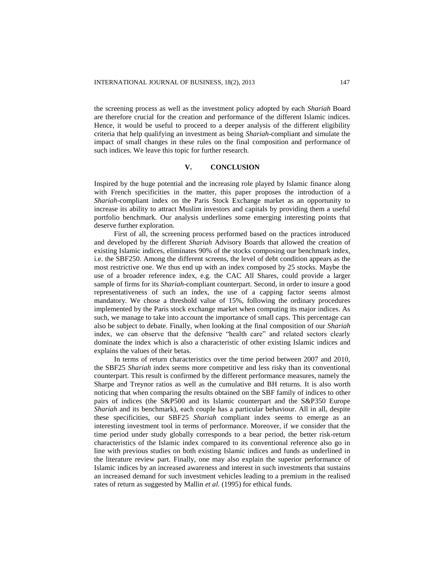the screening process as well as the investment policy adopted by each *Shariah* Board are therefore crucial for the creation and performance of the different Islamic indices. Hence, it would be useful to proceed to a deeper analysis of the different eligibility criteria that help qualifying an investment as being *Shariah*-compliant and simulate the impact of small changes in these rules on the final composition and performance of such indices. We leave this topic for further research.

## **V. CONCLUSION**

Inspired by the huge potential and the increasing role played by Islamic finance along with French specificities in the matter, this paper proposes the introduction of a *Shariah*-compliant index on the Paris Stock Exchange market as an opportunity to increase its ability to attract Muslim investors and capitals by providing them a useful portfolio benchmark. Our analysis underlines some emerging interesting points that deserve further exploration.

First of all, the screening process performed based on the practices introduced and developed by the different *Shariah* Advisory Boards that allowed the creation of existing Islamic indices, eliminates 90% of the stocks composing our benchmark index, i.e. the SBF250. Among the different screens, the level of debt condition appears as the most restrictive one. We thus end up with an index composed by 25 stocks. Maybe the use of a broader reference index, e.g. the CAC All Shares, could provide a larger sample of firms for its *Shariah*-compliant counterpart. Second, in order to insure a good representativeness of such an index, the use of a capping factor seems almost mandatory. We chose a threshold value of 15%, following the ordinary procedures implemented by the Paris stock exchange market when computing its major indices. As such, we manage to take into account the importance of small caps. This percentage can also be subject to debate. Finally, when looking at the final composition of our *Shariah* index, we can observe that the defensive "health care" and related sectors clearly dominate the index which is also a characteristic of other existing Islamic indices and explains the values of their betas.

In terms of return characteristics over the time period between 2007 and 2010, the SBF25 *Shariah* index seems more competitive and less risky than its conventional counterpart. This result is confirmed by the different performance measures, namely the Sharpe and Treynor ratios as well as the cumulative and BH returns. It is also worth noticing that when comparing the results obtained on the SBF family of indices to other pairs of indices (the S&P500 and its Islamic counterpart and the S&P350 Europe *Shariah* and its benchmark), each couple has a particular behaviour. All in all, despite these specificities, our SBF25 *Shariah* compliant index seems to emerge as an interesting investment tool in terms of performance. Moreover, if we consider that the time period under study globally corresponds to a bear period, the better risk-return characteristics of the Islamic index compared to its conventional reference also go in line with previous studies on both existing Islamic indices and funds as underlined in the literature review part. Finally, one may also explain the superior performance of Islamic indices by an increased awareness and interest in such investments that sustains an increased demand for such investment vehicles leading to a premium in the realised rates of return as suggested by Mallin *et al.* (1995) for ethical funds.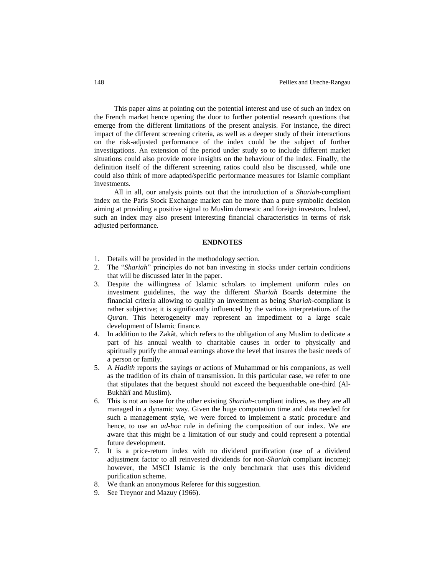This paper aims at pointing out the potential interest and use of such an index on the French market hence opening the door to further potential research questions that emerge from the different limitations of the present analysis. For instance, the direct impact of the different screening criteria, as well as a deeper study of their interactions on the risk-adjusted performance of the index could be the subject of further investigations. An extension of the period under study so to include different market situations could also provide more insights on the behaviour of the index. Finally, the definition itself of the different screening ratios could also be discussed, while one could also think of more adapted/specific performance measures for Islamic compliant investments.

All in all, our analysis points out that the introduction of a *Shariah*-compliant index on the Paris Stock Exchange market can be more than a pure symbolic decision aiming at providing a positive signal to Muslim domestic and foreign investors. Indeed, such an index may also present interesting financial characteristics in terms of risk adjusted performance.

#### **ENDNOTES**

- 1. Details will be provided in the methodology section.
- 2. The "*Shariah*" principles do not ban investing in stocks under certain conditions that will be discussed later in the paper.
- 3. Despite the willingness of Islamic scholars to implement uniform rules on investment guidelines, the way the different *Shariah* Boards determine the financial criteria allowing to qualify an investment as being *Shariah*-compliant is rather subjective; it is significantly influenced by the various interpretations of the *Quran*. This heterogeneity may represent an impediment to a large scale development of Islamic finance.
- 4. In addition to the Zakât, which refers to the obligation of any Muslim to dedicate a part of his annual wealth to charitable causes in order to physically and spiritually purify the annual earnings above the level that insures the basic needs of a person or family.
- 5. A *Hadith* reports the sayings or actions of Muhammad or his companions, as well as the tradition of its chain of transmission. In this particular case, we refer to one that stipulates that the bequest should not exceed the bequeathable one-third (Al-Bukhârî and Muslim).
- 6. This is not an issue for the other existing *Shariah*-compliant indices, as they are all managed in a dynamic way. Given the huge computation time and data needed for such a management style, we were forced to implement a static procedure and hence, to use an *ad-hoc* rule in defining the composition of our index. We are aware that this might be a limitation of our study and could represent a potential future development.
- 7. It is a price-return index with no dividend purification (use of a dividend adjustment factor to all reinvested dividends for non-*Shariah* compliant income); however, the MSCI Islamic is the only benchmark that uses this dividend purification scheme.
- 8. We thank an anonymous Referee for this suggestion.
- 9. See Treynor and Mazuy (1966).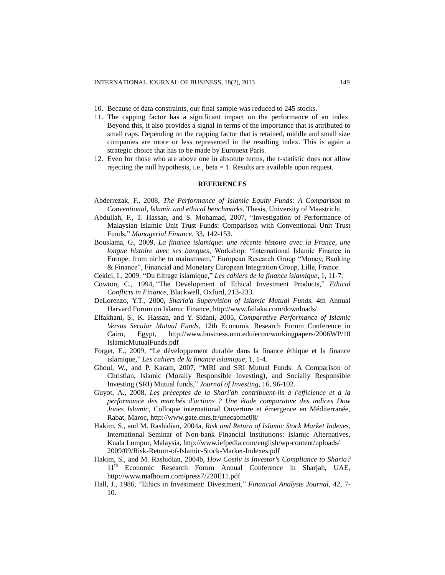- 10. Because of data constraints, our final sample was reduced to 245 stocks.
- 11. The capping factor has a significant impact on the performance of an index. Beyond this, it also provides a signal in terms of the importance that is attributed to small caps. Depending on the capping factor that is retained, middle and small size companies are more or less represented in the resulting index. This is again a strategic choice that has to be made by Euronext Paris.
- 12. Even for those who are above one in absolute terms, the t-statistic does not allow rejecting the null hypothesis, i.e., beta = 1. Results are available upon request.

## **REFERENCES**

- Abderrezak, F., 2008, *The Performance of Islamic Equity Funds: A Comparison to Conventional, Islamic and ethical benchmarks*. Thesis, University of Maastricht.
- Abdullah, F., T. Hassan, and S. Mohamad, 2007, "Investigation of Performance of Malaysian Islamic Unit Trust Funds: Comparison with Conventional Unit Trust Funds," *Managerial Finance,* 33, 142-153.
- Bouslama, G., 2009, *La finance islamique: une récente histoire avec la France, une longue histoire avec ses banques*, Workshop: "International Islamic Finance in Europe: from niche to mainstream," European Research Group "Money, Banking & Finance", Financial and Monetary European Integration Group, Lille, France.
- Cekici, I., 2009, "Du filtrage islamique," *Les cahiers de la finance islamique*, 1, 11-7.
- Cowton, C., 1994, "The Development of Ethical Investment Products," *Ethical Conflicts in Finance*, Blackwell, Oxford, 213-233.
- DeLorenzo, Y.T., 2000, *Sharia'a Supervision of Islamic Mutual Funds.* 4th Annual Harvard Forum on Islamic Finance, http://www.failaka.com/downloads/.
- Elfakhani, S., K. Hassan, and Y. Sidani, 2005, *Comparative Performance of Islamic Versus Secular Mutual Funds,* 12th Economic Research Forum Conference in Cairo, Egypt, <http://www.business.uno.edu/econ/workingpapers/2006WP/10> IslamicMutualFunds.pdf
- Forget, E., 2009, "Le développement durable dans la finance éthique et la finance islamique," *Les cahiers de la finance islamique*, 1, 1-4.
- Ghoul, W., and P. Karam, 2007, "MRI and SRI Mutual Funds: A Comparison of Christian, Islamic (Morally Responsible Investing), and Socially Responsible Investing (SRI) Mutual funds," *Journal of Investing*, 16, 96-102.
- Guyot, A., 2008, *Les préceptes de la Shari'ah contribuent-ils à l'efficience et à la performance des marchés d'actions ? Une étude comparative des indices Dow Jones Islamic,* Colloque international Ouverture et émergence en Méditerranée, Rabat, Maroc, http://www.gate.cnrs.fr/unecaomc08/
- Hakim, S., and M. Rashidian, 2004a, *Risk and Return of Islamic Stock Market Indexes,* International Seminar of Non-bank Financial Institutions: Islamic Alternatives, Kuala Lumpur, Malaysia,<http://www.iefpedia.com/english/wp-content/uploads/> 2009/09/Risk-Return-of-Islamic-Stock-Market-Indexes.pdf
- Hakim, S., and M. Rashidian, 2004b, *How Costly is Investor's Compliance to Sharia?* 11<sup>th</sup> Economic Research Forum Annual Conference in Sharjah, UAE, <http://www.mafhoum.com/press7/220E11.pdf>
- Hall, J., 1986, "Ethics in Investment: Divestment," *Financial Analysts Journal,* 42, 7- 10.